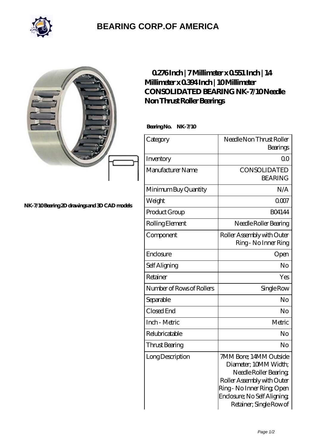

## **[BEARING CORP.OF AMERICA](https://bluemondayreview.com)**

|                                               | $0276$ Inch   7Millimeter x $0551$ Inch   14<br>Millimeter x 0394 Inch   10 Millimeter<br><b>CONSOLIDATED BEARING NK-7/10Needle</b><br>Non Thrust Roller Bearings<br>Bearing No. NK-7/10 |                                                                                                                                                                                               |
|-----------------------------------------------|------------------------------------------------------------------------------------------------------------------------------------------------------------------------------------------|-----------------------------------------------------------------------------------------------------------------------------------------------------------------------------------------------|
|                                               | Category                                                                                                                                                                                 | Needle Non Thrust Roller<br>Bearings                                                                                                                                                          |
|                                               | Inventory                                                                                                                                                                                | 0 <sup>0</sup>                                                                                                                                                                                |
|                                               | Manufacturer Name                                                                                                                                                                        | CONSOLIDATED<br><b>BEARING</b>                                                                                                                                                                |
|                                               | Minimum Buy Quantity                                                                                                                                                                     | N/A                                                                                                                                                                                           |
| NK-7/10 Bearing 2D drawings and 3D CAD models | Weight                                                                                                                                                                                   | 0007                                                                                                                                                                                          |
|                                               | Product Group                                                                                                                                                                            | <b>BO4144</b>                                                                                                                                                                                 |
|                                               | Rolling Element                                                                                                                                                                          | Needle Roller Bearing                                                                                                                                                                         |
|                                               | Component                                                                                                                                                                                | Roller Assembly with Outer<br>Ring - No Inner Ring                                                                                                                                            |
|                                               | Enclosure                                                                                                                                                                                | Open                                                                                                                                                                                          |
|                                               | Self Aligning                                                                                                                                                                            | N <sub>o</sub>                                                                                                                                                                                |
|                                               | Retainer                                                                                                                                                                                 | Yes                                                                                                                                                                                           |
|                                               | Number of Rows of Rollers                                                                                                                                                                | Single Row                                                                                                                                                                                    |
|                                               | Separable                                                                                                                                                                                | No                                                                                                                                                                                            |
|                                               | Closed End                                                                                                                                                                               | No                                                                                                                                                                                            |
|                                               | Inch - Metric                                                                                                                                                                            | Metric                                                                                                                                                                                        |
|                                               | Relubricatable                                                                                                                                                                           | No                                                                                                                                                                                            |
|                                               | Thrust Bearing                                                                                                                                                                           | N <sub>o</sub>                                                                                                                                                                                |
|                                               | Long Description                                                                                                                                                                         | 7MM Bore; 14MM Outside<br>Diameter; 10MM Width;<br>Needle Roller Bearing<br>Roller Assembly with Outer<br>Ring - No Inner Ring Open<br>Enclosure; No Self Aligning<br>Retainer; Single Row of |

Page 1/2